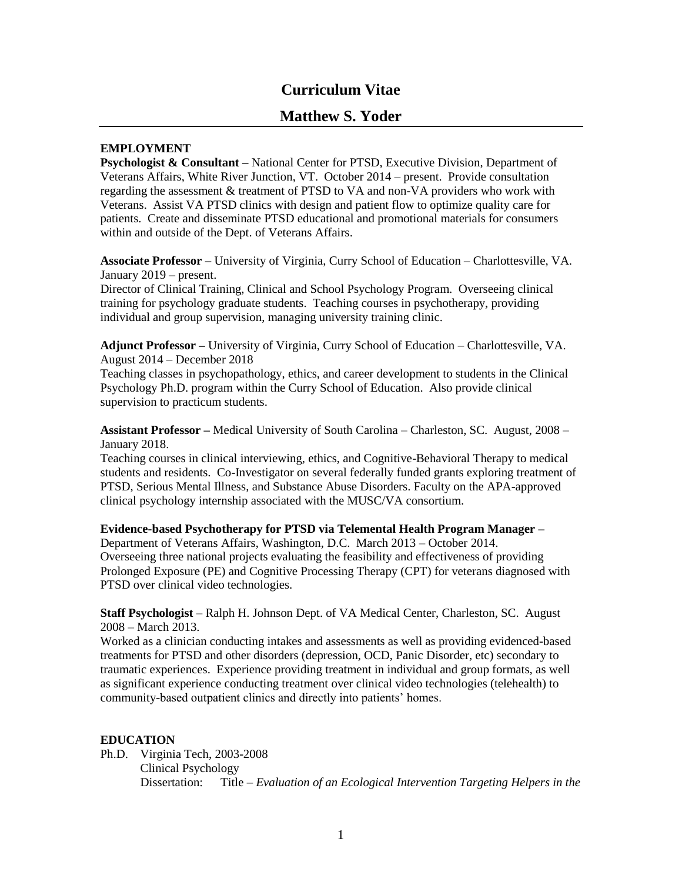# **Curriculum Vitae**

# **Matthew S. Yoder**

# **EMPLOYMENT**

**Psychologist & Consultant –** National Center for PTSD, Executive Division, Department of Veterans Affairs, White River Junction, VT. October 2014 – present. Provide consultation regarding the assessment & treatment of PTSD to VA and non-VA providers who work with Veterans. Assist VA PTSD clinics with design and patient flow to optimize quality care for patients. Create and disseminate PTSD educational and promotional materials for consumers within and outside of the Dept. of Veterans Affairs.

**Associate Professor –** University of Virginia, Curry School of Education – Charlottesville, VA. January 2019 – present.

Director of Clinical Training, Clinical and School Psychology Program. Overseeing clinical training for psychology graduate students. Teaching courses in psychotherapy, providing individual and group supervision, managing university training clinic.

**Adjunct Professor –** University of Virginia, Curry School of Education – Charlottesville, VA. August 2014 – December 2018

Teaching classes in psychopathology, ethics, and career development to students in the Clinical Psychology Ph.D. program within the Curry School of Education. Also provide clinical supervision to practicum students.

**Assistant Professor –** Medical University of South Carolina – Charleston, SC. August, 2008 – January 2018.

Teaching courses in clinical interviewing, ethics, and Cognitive-Behavioral Therapy to medical students and residents. Co-Investigator on several federally funded grants exploring treatment of PTSD, Serious Mental Illness, and Substance Abuse Disorders. Faculty on the APA-approved clinical psychology internship associated with the MUSC/VA consortium.

#### **Evidence-based Psychotherapy for PTSD via Telemental Health Program Manager –**

Department of Veterans Affairs, Washington, D.C. March 2013 – October 2014. Overseeing three national projects evaluating the feasibility and effectiveness of providing Prolonged Exposure (PE) and Cognitive Processing Therapy (CPT) for veterans diagnosed with PTSD over clinical video technologies.

**Staff Psychologist** – Ralph H. Johnson Dept. of VA Medical Center, Charleston, SC. August 2008 – March 2013.

Worked as a clinician conducting intakes and assessments as well as providing evidenced-based treatments for PTSD and other disorders (depression, OCD, Panic Disorder, etc) secondary to traumatic experiences. Experience providing treatment in individual and group formats, as well as significant experience conducting treatment over clinical video technologies (telehealth) to community-based outpatient clinics and directly into patients' homes.

## **EDUCATION**

Ph.D. Virginia Tech, 2003-2008 Clinical Psychology Dissertation: Title – *Evaluation of an Ecological Intervention Targeting Helpers in the*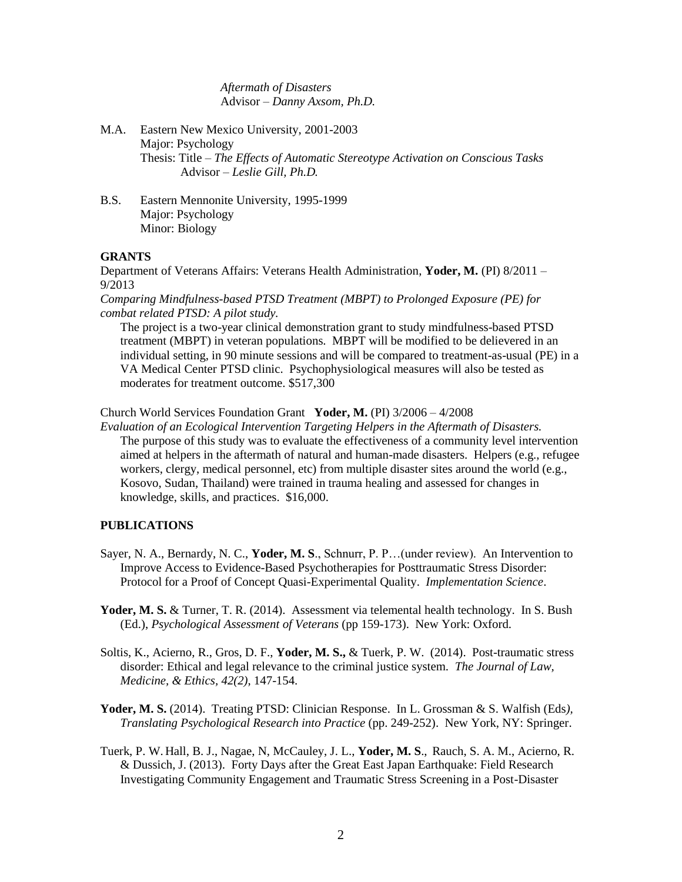*Aftermath of Disasters* Advisor – *Danny Axsom, Ph.D.*

- M.A. Eastern New Mexico University, 2001-2003 Major: Psychology Thesis: Title – *The Effects of Automatic Stereotype Activation on Conscious Tasks* Advisor – *Leslie Gill, Ph.D.*
- B.S. Eastern Mennonite University, 1995-1999 Major: Psychology Minor: Biology

### **GRANTS**

Department of Veterans Affairs: Veterans Health Administration, **Yoder, M.** (PI) 8/2011 – 9/2013

*Comparing Mindfulness-based PTSD Treatment (MBPT) to Prolonged Exposure (PE) for combat related PTSD: A pilot study.*

The project is a two-year clinical demonstration grant to study mindfulness-based PTSD treatment (MBPT) in veteran populations. MBPT will be modified to be delievered in an individual setting, in 90 minute sessions and will be compared to treatment-as-usual (PE) in a VA Medical Center PTSD clinic. Psychophysiological measures will also be tested as moderates for treatment outcome. \$517,300

Church World Services Foundation Grant **Yoder, M.** (PI) 3/2006 – 4/2008

*Evaluation of an Ecological Intervention Targeting Helpers in the Aftermath of Disasters.* The purpose of this study was to evaluate the effectiveness of a community level intervention aimed at helpers in the aftermath of natural and human-made disasters. Helpers (e.g., refugee workers, clergy, medical personnel, etc) from multiple disaster sites around the world (e.g., Kosovo, Sudan, Thailand) were trained in trauma healing and assessed for changes in knowledge, skills, and practices. \$16,000.

#### **PUBLICATIONS**

- Sayer, N. A., Bernardy, N. C., **Yoder, M. S**., Schnurr, P. P…(under review). An Intervention to Improve Access to Evidence-Based Psychotherapies for Posttraumatic Stress Disorder: Protocol for a Proof of Concept Quasi-Experimental Quality. *Implementation Science*.
- Yoder, M. S. & Turner, T. R. (2014). Assessment via telemental health technology. In S. Bush (Ed.), *Psychological Assessment of Veterans* (pp 159-173). New York: Oxford.
- Soltis, K., Acierno, R., Gros, D. F., **Yoder, M. S.,** & Tuerk, P. W. (2014). Post-traumatic stress disorder: Ethical and legal relevance to the criminal justice system. *The Journal of Law, Medicine, & Ethics, 42(2)*, 147-154.
- **Yoder, M. S.** (2014). Treating PTSD: Clinician Response. In L. Grossman & S. Walfish (Eds*), Translating Psychological Research into Practice* (pp. 249-252). New York, NY: Springer.
- Tuerk, P. W. Hall, B. J., Nagae, N, McCauley, J. L., **Yoder, M. S**., Rauch, S. A. M., Acierno, R. & Dussich, J. (2013). Forty Days after the Great East Japan Earthquake: Field Research Investigating Community Engagement and Traumatic Stress Screening in a Post-Disaster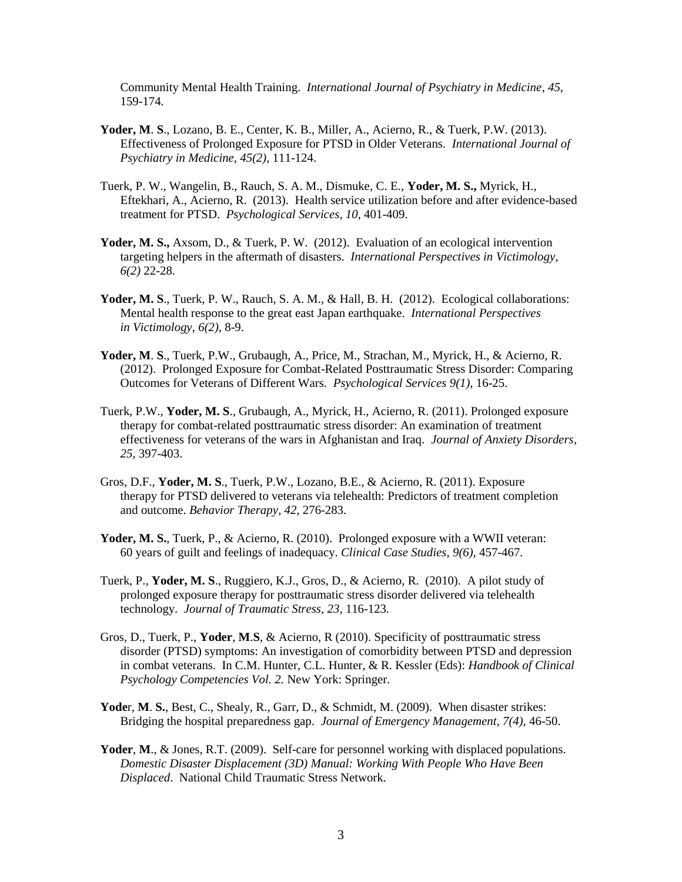Community Mental Health Training. *International Journal of Psychiatry in Medicine, 45,*  159-174*.*

- **Yoder, M**. **S**., Lozano, B. E., Center, K. B., Miller, A., Acierno, R., & Tuerk, P.W. (2013). Effectiveness of Prolonged Exposure for PTSD in Older Veterans. *International Journal of Psychiatry in Medicine, 45(2),* 111-124.
- Tuerk, P. W., Wangelin, B., Rauch, S. A. M., Dismuke, C. E., **Yoder, M. S.,** Myrick, H., Eftekhari, A., Acierno, R. (2013). Health service utilization before and after evidence-based treatment for PTSD. *Psychological Services, 10*, 401-409.
- **Yoder, M. S.,** Axsom, D., & Tuerk, P. W. (2012). Evaluation of an ecological intervention targeting helpers in the aftermath of disasters. *International Perspectives in Victimology, 6(2)* 22-28.
- Yoder, M. S., Tuerk, P. W., Rauch, S. A. M., & Hall, B. H. (2012). Ecological collaborations: Mental health response to the great east Japan earthquake. *International Perspectives in Victimology, 6(2),* 8-9.
- **Yoder, M**. **S**., Tuerk, P.W., Grubaugh, A., Price, M., Strachan, M., Myrick, H., & Acierno, R. (2012). Prolonged Exposure for Combat-Related Posttraumatic Stress Disorder: Comparing Outcomes for Veterans of Different Wars. *Psychological Services 9(1),* 16-25.
- Tuerk, P.W., **Yoder, M. S**., Grubaugh, A., Myrick, H., Acierno, R. (2011). Prolonged exposure therapy for combat-related posttraumatic stress disorder: An examination of treatment effectiveness for veterans of the wars in Afghanistan and Iraq. *Journal of Anxiety Disorders, 25,* 397-403.
- Gros, D.F., **Yoder, M. S**., Tuerk, P.W., Lozano, B.E., & Acierno, R. (2011). Exposure therapy for PTSD delivered to veterans via telehealth: Predictors of treatment completion and outcome. *Behavior Therapy, 42,* 276-283.
- **Yoder, M. S.**, Tuerk, P., & Acierno, R. (2010). Prolonged exposure with a WWII veteran: 60 years of guilt and feelings of inadequacy. *Clinical Case Studies, 9(6),* 457-467*.*
- Tuerk, P., **Yoder, M. S**., Ruggiero, K.J., Gros, D., & Acierno, R. (2010). A pilot study of prolonged exposure therapy for posttraumatic stress disorder delivered via telehealth technology. *Journal of Traumatic Stress, 23,* 116-123*.*
- Gros, D., Tuerk, P., **Yoder**, **M**.**S**, & Acierno, R (2010). Specificity of posttraumatic stress disorder (PTSD) symptoms: An investigation of comorbidity between PTSD and depression in combat veterans. In C.M. Hunter, C.L. Hunter, & R. Kessler (Eds): *Handbook of Clinical Psychology Competencies Vol. 2.* New York: Springer.
- **Yode**r, **M**. **S.**, Best, C., Shealy, R., Garr, D., & Schmidt, M. (2009). When disaster strikes: Bridging the hospital preparedness gap. *Journal of Emergency Management, 7(4),* 46-50.
- **Yoder**, **M**., & Jones, R.T. (2009). Self-care for personnel working with displaced populations. *Domestic Disaster Displacement (3D) Manual: Working With People Who Have Been Displaced*. National Child Traumatic Stress Network.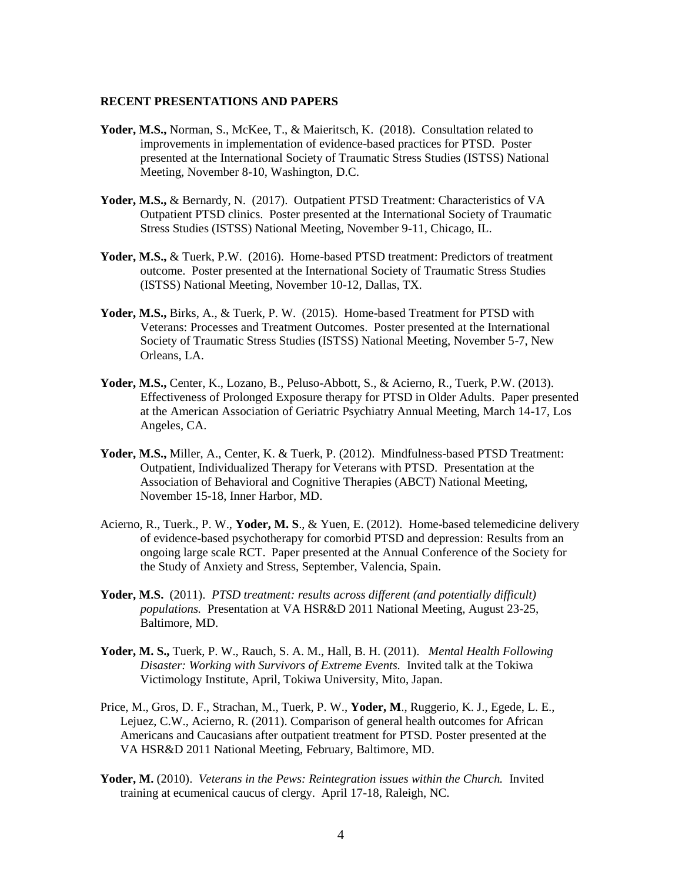#### **RECENT PRESENTATIONS AND PAPERS**

- **Yoder, M.S.,** Norman, S., McKee, T., & Maieritsch, K. (2018). Consultation related to improvements in implementation of evidence-based practices for PTSD. Poster presented at the International Society of Traumatic Stress Studies (ISTSS) National Meeting, November 8-10, Washington, D.C.
- Yoder, M.S., & Bernardy, N. (2017). Outpatient PTSD Treatment: Characteristics of VA Outpatient PTSD clinics. Poster presented at the International Society of Traumatic Stress Studies (ISTSS) National Meeting, November 9-11, Chicago, IL.
- Yoder, M.S., & Tuerk, P.W. (2016). Home-based PTSD treatment: Predictors of treatment outcome. Poster presented at the International Society of Traumatic Stress Studies (ISTSS) National Meeting, November 10-12, Dallas, TX.
- **Yoder, M.S.,** Birks, A., & Tuerk, P. W. (2015). Home-based Treatment for PTSD with Veterans: Processes and Treatment Outcomes. Poster presented at the International Society of Traumatic Stress Studies (ISTSS) National Meeting, November 5-7, New Orleans, LA.
- **Yoder, M.S.,** Center, K., Lozano, B., Peluso-Abbott, S., & Acierno, R., Tuerk, P.W. (2013). Effectiveness of Prolonged Exposure therapy for PTSD in Older Adults. Paper presented at the American Association of Geriatric Psychiatry Annual Meeting, March 14-17, Los Angeles, CA.
- Yoder, M.S., Miller, A., Center, K. & Tuerk, P. (2012). Mindfulness-based PTSD Treatment: Outpatient, Individualized Therapy for Veterans with PTSD. Presentation at the Association of Behavioral and Cognitive Therapies (ABCT) National Meeting, November 15-18, Inner Harbor, MD.
- Acierno, R., Tuerk., P. W., **Yoder, M. S**., & Yuen, E. (2012). Home-based telemedicine delivery of evidence-based psychotherapy for comorbid PTSD and depression: Results from an ongoing large scale RCT. Paper presented at the Annual Conference of the Society for the Study of Anxiety and Stress, September, Valencia, Spain.
- **Yoder, M.S.** (2011). *PTSD treatment: results across different (and potentially difficult) populations.* Presentation at VA HSR&D 2011 National Meeting, August 23-25, Baltimore, MD.
- **Yoder, M. S.,** Tuerk, P. W., Rauch, S. A. M., Hall, B. H. (2011). *Mental Health Following Disaster: Working with Survivors of Extreme Events.* Invited talk at the Tokiwa Victimology Institute, April, Tokiwa University, Mito, Japan.
- Price, M., Gros, D. F., Strachan, M., Tuerk, P. W., **Yoder, M**., Ruggerio, K. J., Egede, L. E., Lejuez, C.W., Acierno, R. (2011). Comparison of general health outcomes for African Americans and Caucasians after outpatient treatment for PTSD. Poster presented at the VA HSR&D 2011 National Meeting, February, Baltimore, MD.
- **Yoder, M.** (2010). *Veterans in the Pews: Reintegration issues within the Church.* Invited training at ecumenical caucus of clergy. April 17-18, Raleigh, NC.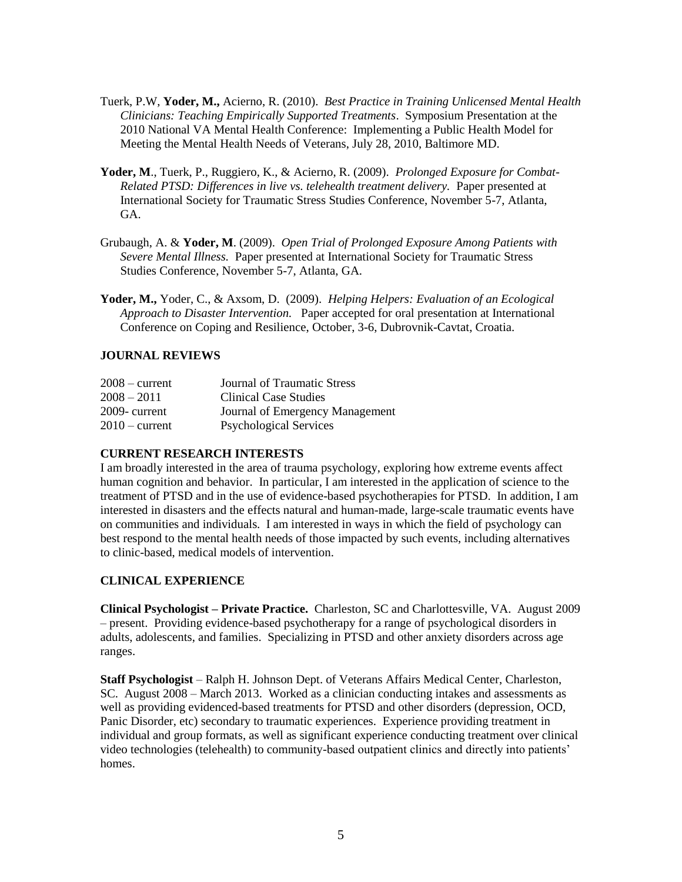- Tuerk, P.W, **Yoder, M.,** Acierno, R. (2010). *Best Practice in Training Unlicensed Mental Health Clinicians: Teaching Empirically Supported Treatments*. Symposium Presentation at the 2010 National VA Mental Health Conference: Implementing a Public Health Model for Meeting the Mental Health Needs of Veterans, July 28, 2010, Baltimore MD.
- **Yoder, M**., Tuerk, P., Ruggiero, K., & Acierno, R. (2009). *Prolonged Exposure for Combat-Related PTSD: Differences in live vs. telehealth treatment delivery.* Paper presented at International Society for Traumatic Stress Studies Conference, November 5-7, Atlanta, GA.
- Grubaugh, A. & **Yoder, M**. (2009). *Open Trial of Prolonged Exposure Among Patients with Severe Mental Illness.* Paper presented at International Society for Traumatic Stress Studies Conference, November 5-7, Atlanta, GA.
- **Yoder, M.,** Yoder, C., & Axsom, D. (2009). *Helping Helpers: Evaluation of an Ecological Approach to Disaster Intervention.* Paper accepted for oral presentation at International Conference on Coping and Resilience, October, 3-6, Dubrovnik-Cavtat, Croatia.

# **JOURNAL REVIEWS**

| $2008 - current$ | Journal of Traumatic Stress     |
|------------------|---------------------------------|
| $2008 - 2011$    | Clinical Case Studies           |
| $2009$ - current | Journal of Emergency Management |
| $2010 - current$ | <b>Psychological Services</b>   |

# **CURRENT RESEARCH INTERESTS**

I am broadly interested in the area of trauma psychology, exploring how extreme events affect human cognition and behavior. In particular, I am interested in the application of science to the treatment of PTSD and in the use of evidence-based psychotherapies for PTSD. In addition, I am interested in disasters and the effects natural and human-made, large-scale traumatic events have on communities and individuals. I am interested in ways in which the field of psychology can best respond to the mental health needs of those impacted by such events, including alternatives to clinic-based, medical models of intervention.

## **CLINICAL EXPERIENCE**

**Clinical Psychologist – Private Practice.** Charleston, SC and Charlottesville, VA. August 2009 – present. Providing evidence-based psychotherapy for a range of psychological disorders in adults, adolescents, and families. Specializing in PTSD and other anxiety disorders across age ranges.

**Staff Psychologist** – Ralph H. Johnson Dept. of Veterans Affairs Medical Center, Charleston, SC. August 2008 – March 2013. Worked as a clinician conducting intakes and assessments as well as providing evidenced-based treatments for PTSD and other disorders (depression, OCD, Panic Disorder, etc) secondary to traumatic experiences. Experience providing treatment in individual and group formats, as well as significant experience conducting treatment over clinical video technologies (telehealth) to community-based outpatient clinics and directly into patients' homes.